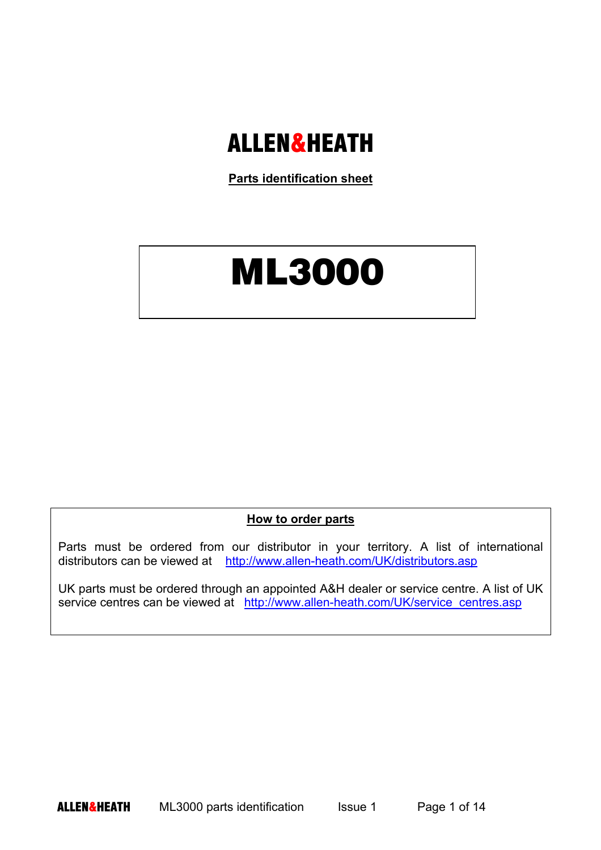## ALLEN&HEATH

**Parts identification sheet**

## ML3000

## **How to order parts**

Parts must be ordered from our distributor in your territory. A list of international distributors can be viewed at http://www.allen-heath.com/UK/distributors.asp

UK parts must be ordered through an appointed A&H dealer or service centre. A list of UK service centres can be viewed at http://www.allen-heath.com/UK/service\_centres.asp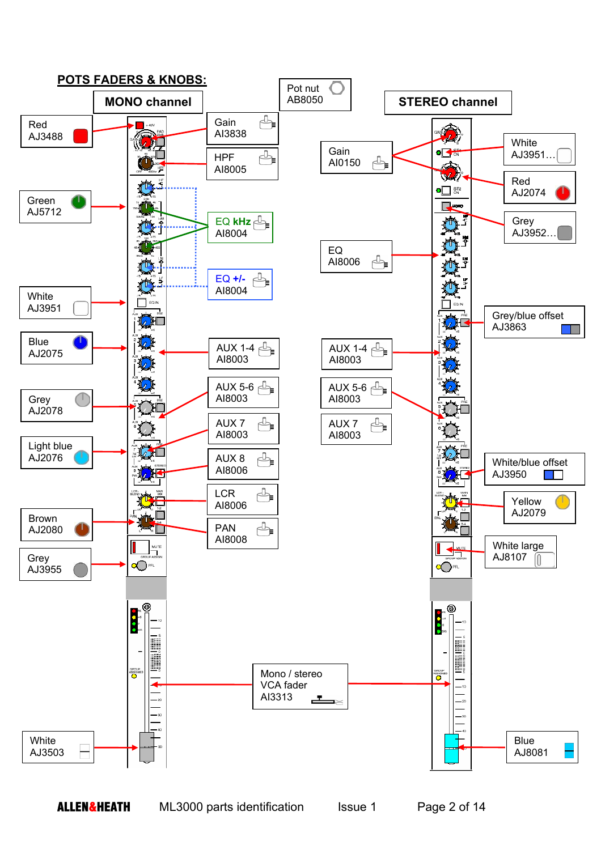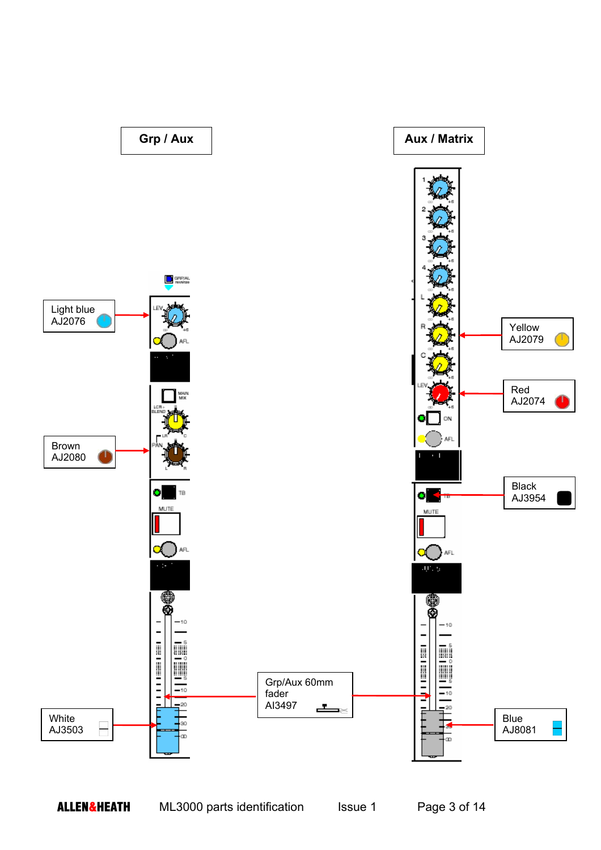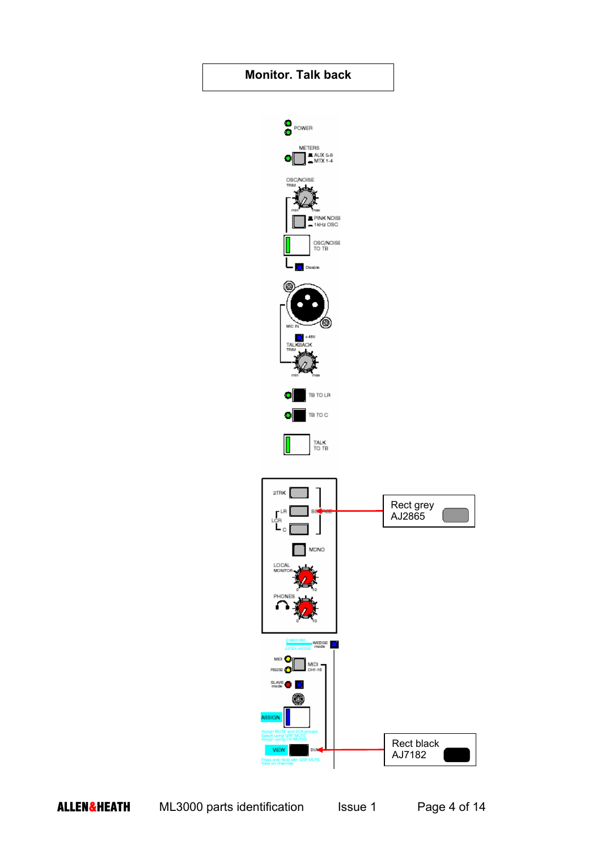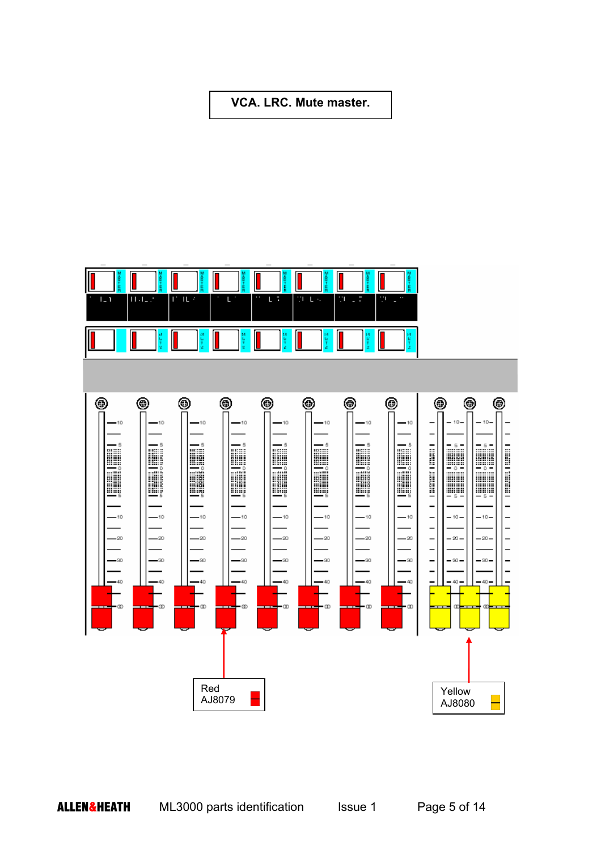**VCA. LRC. Mute master.** 

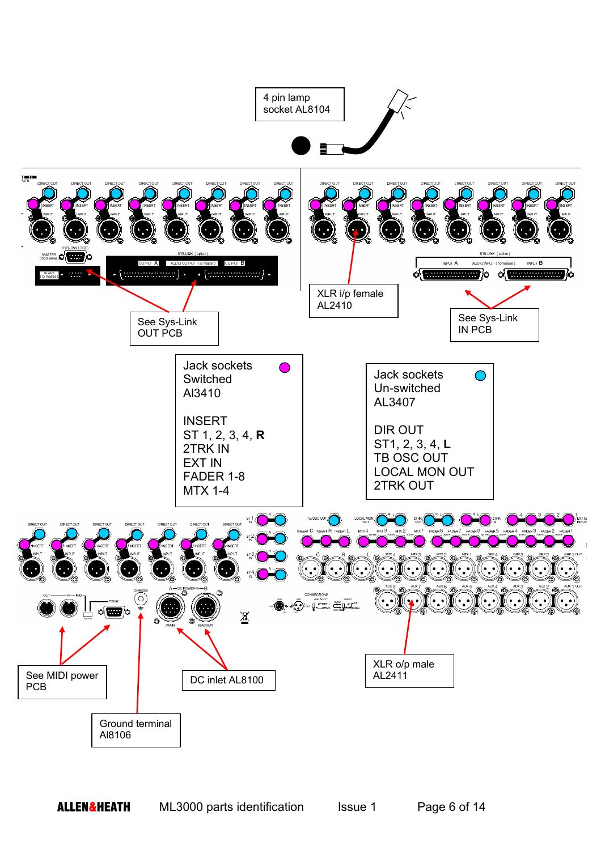

**ALLEN&HEATH** ML3000 parts identification Issue 1 Page 6 of 14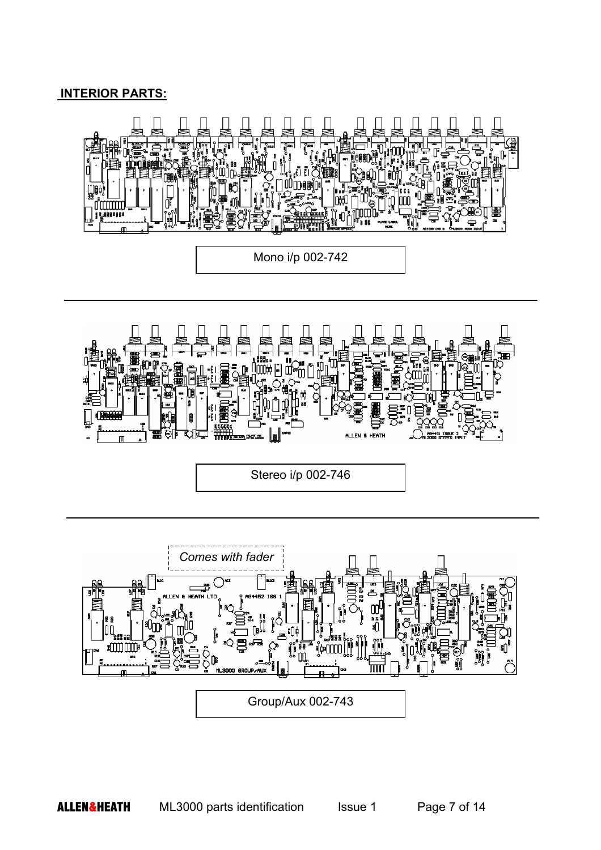## **INTERIOR PARTS:**



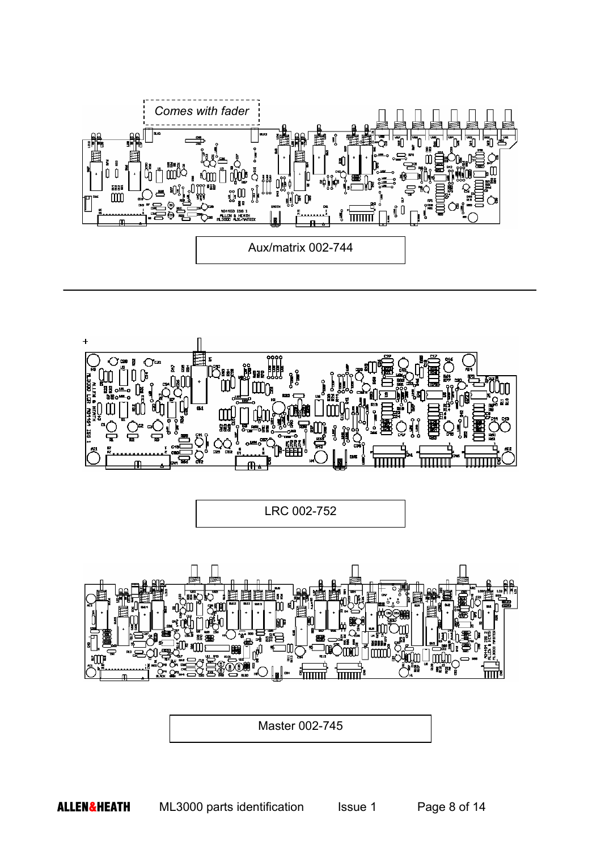



LRC 002-752



Master 002-745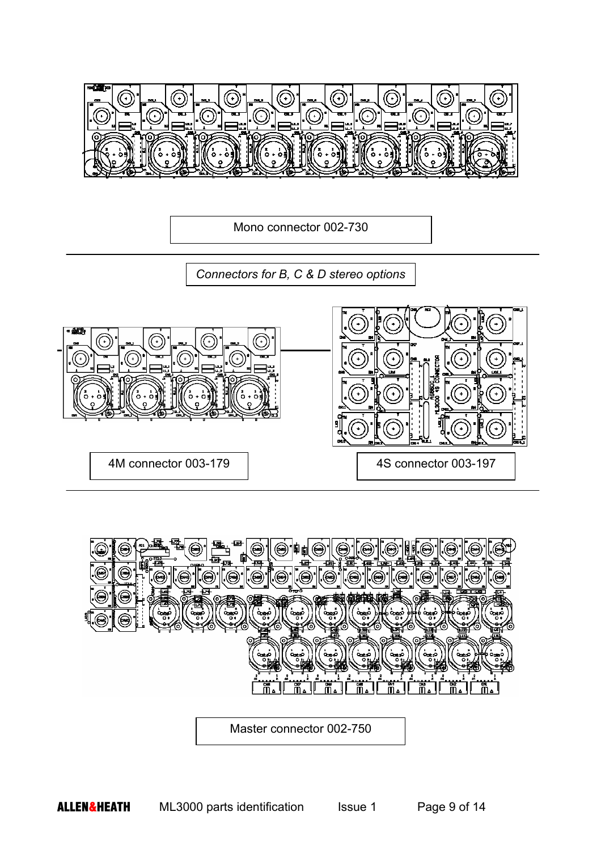

Mono connector 002-730

*Connectors for B, C & D stereo options* 





Master connector 002-750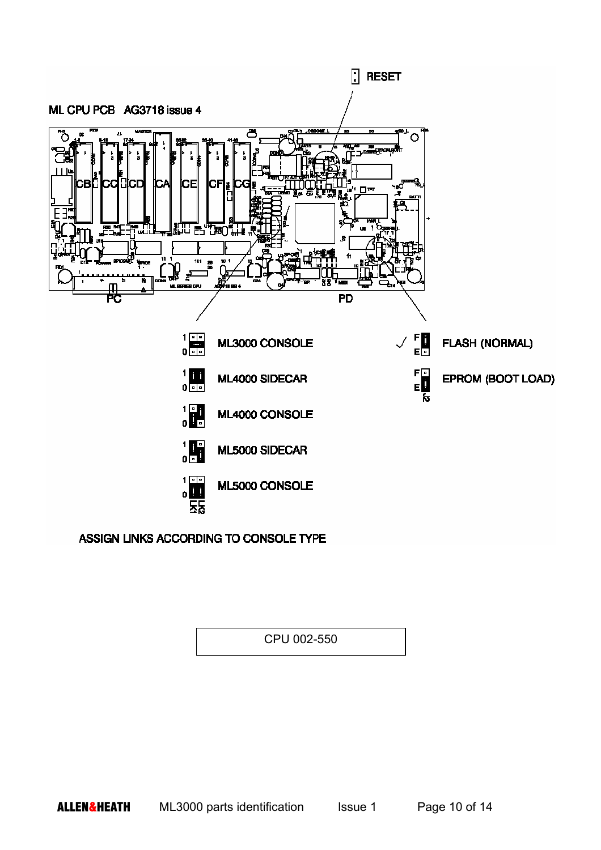

ASSIGN LINKS ACCORDING TO CONSOLE TYPE

CPU 002-550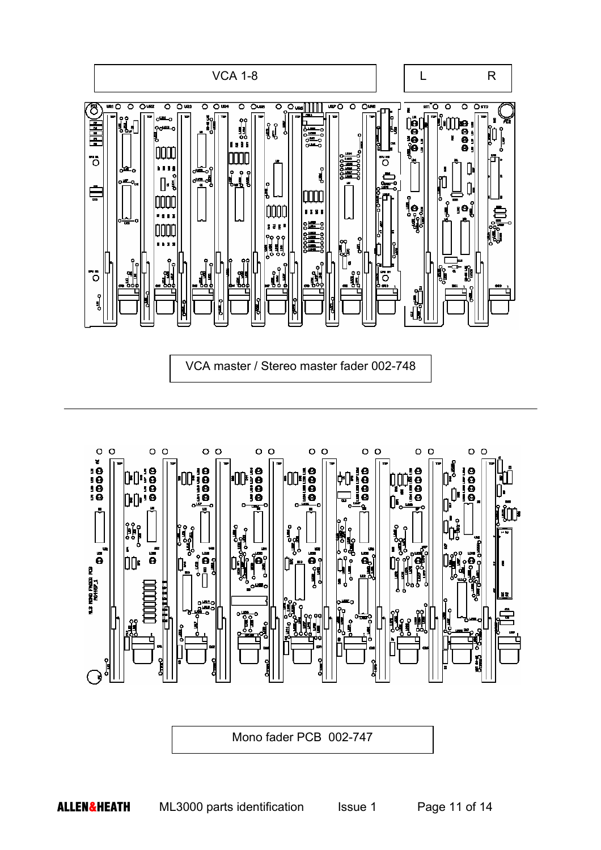



Mono fader PCB 002-747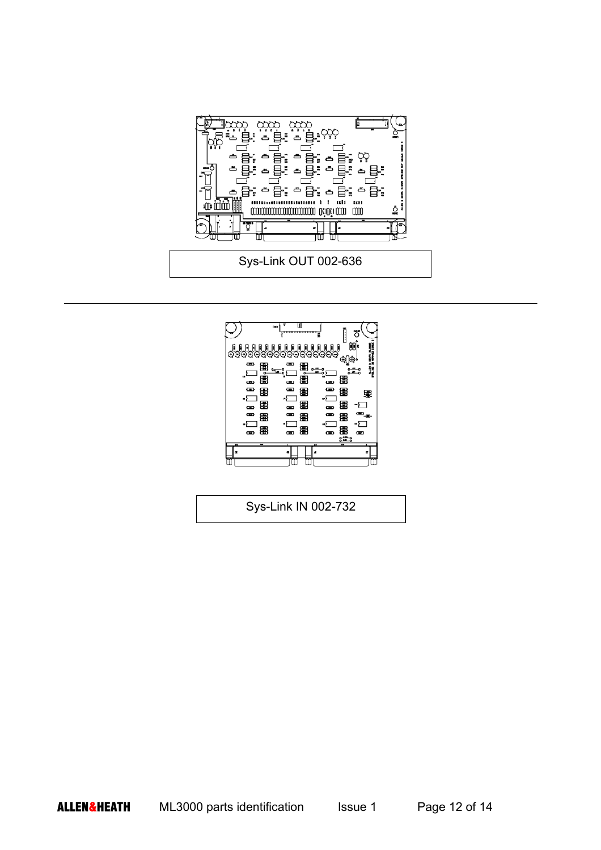



Sys-Link IN 002-732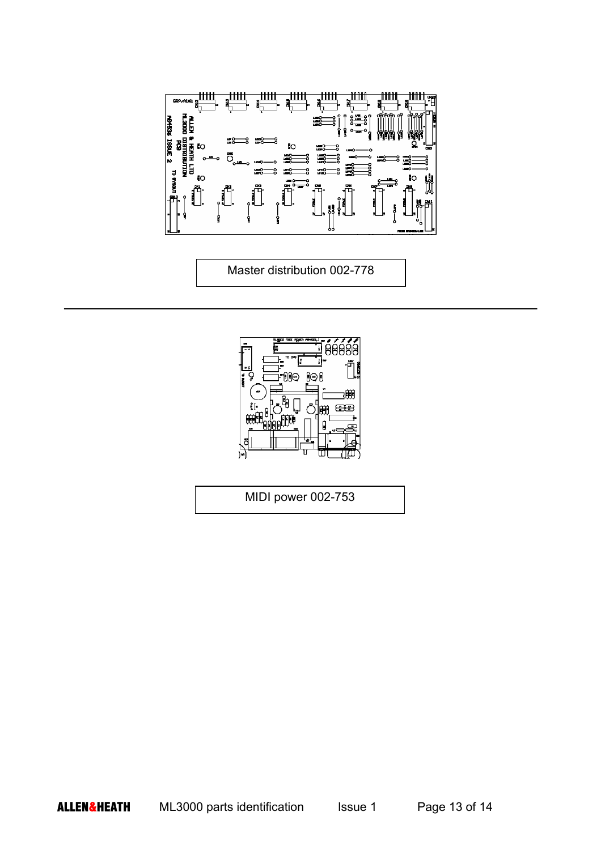

Master distribution 002-778



MIDI power 002-753